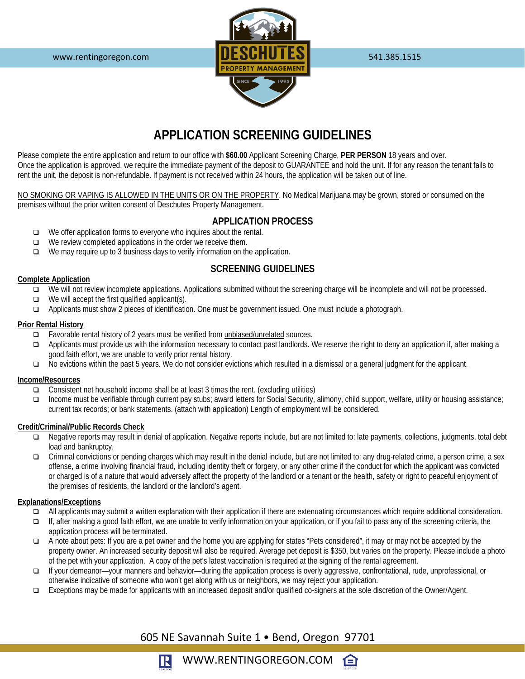

# **APPLICATION SCREENING GUIDELINES**

Please complete the entire application and return to our office with **\$60.00** Applicant Screening Charge, **PER PERSON** 18 years and over. Once the application is approved, we require the immediate payment of the deposit to GUARANTEE and hold the unit. If for any reason the tenant fails to rent the unit, the deposit is non-refundable. If payment is not received within 24 hours, the application will be taken out of line.

NO SMOKING OR VAPING IS ALLOWED IN THE UNITS OR ON THE PROPERTY. No Medical Marijuana may be grown, stored or consumed on the premises without the prior written consent of Deschutes Property Management.

### **APPLICATION PROCESS**

- $\Box$  We offer application forms to everyone who inquires about the rental.
- $\Box$  We review completed applications in the order we receive them.
- $\Box$  We may require up to 3 business days to verify information on the application.

### **SCREENING GUIDELINES**

#### **Complete Application**

- We will not review incomplete applications. Applications submitted without the screening charge will be incomplete and will not be processed.
- $\Box$  We will accept the first qualified applicant(s).
- Applicants must show 2 pieces of identification. One must be government issued. One must include a photograph.

#### **Prior Rental History**

- Favorable rental history of 2 years must be verified from unbiased/unrelated sources.
- Applicants must provide us with the information necessary to contact past landlords. We reserve the right to deny an application if, after making a good faith effort, we are unable to verify prior rental history.
- No evictions within the past 5 years. We do not consider evictions which resulted in a dismissal or a general judgment for the applicant.

### **Income/Resources**

- Consistent net household income shall be at least 3 times the rent. (excluding utilities)
- Income must be verifiable through current pay stubs; award letters for Social Security, alimony, child support, welfare, utility or housing assistance; current tax records; or bank statements. (attach with application) Length of employment will be considered.

#### **Credit/Criminal/Public Records Check**

- □ Negative reports may result in denial of application. Negative reports include, but are not limited to: late payments, collections, judgments, total debt load and bankruptcy.
- Criminal convictions or pending charges which may result in the denial include, but are not limited to: any drug-related crime, a person crime, a sex offense, a crime involving financial fraud, including identity theft or forgery, or any other crime if the conduct for which the applicant was convicted or charged is of a nature that would adversely affect the property of the landlord or a tenant or the health, safety or right to peaceful enjoyment of the premises of residents, the landlord or the landlord's agent.

### **Explanations/Exceptions**

- All applicants may submit a written explanation with their application if there are extenuating circumstances which require additional consideration.
- If, after making a good faith effort, we are unable to verify information on your application, or if you fail to pass any of the screening criteria, the application process will be terminated.
- A note about pets: If you are a pet owner and the home you are applying for states "Pets considered", it may or may not be accepted by the property owner. An increased security deposit will also be required. Average pet deposit is \$350, but varies on the property. Please include a photo of the pet with your application. A copy of the pet's latest vaccination is required at the signing of the rental agreement.
- If your demeanor—your manners and behavior—during the application process is overly aggressive, confrontational, rude, unprofessional, or otherwise indicative of someone who won't get along with us or neighbors, we may reject your application.
- Exceptions may be made for applicants with an increased deposit and/or qualified co-signers at the sole discretion of the Owner/Agent.

## 605 NE Savannah Suite 1 • Bend, Oregon 97701

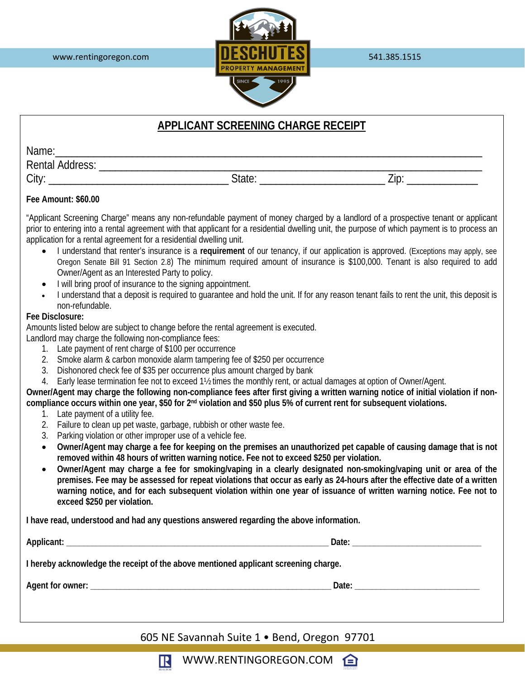

# **APPLICANT SCREENING CHARGE RECEIPT**

| Name.                  |                    |                          |
|------------------------|--------------------|--------------------------|
| <b>Rental Address:</b> |                    |                          |
| ≛itvr⊾<br>ાાપ          | $\cap$ tot $\cdot$ | $\overline{\phantom{a}}$ |

### **Fee Amount: \$60.00**

"Applicant Screening Charge" means any non-refundable payment of money charged by a landlord of a prospective tenant or applicant prior to entering into a rental agreement with that applicant for a residential dwelling unit, the purpose of which payment is to process an application for a rental agreement for a residential dwelling unit.

- I understand that renter's insurance is a **requirement** of our tenancy, if our application is approved. (Exceptions may apply, see Oregon Senate Bill 91 Section 2.8) The minimum required amount of insurance is \$100,000. Tenant is also required to add Owner/Agent as an Interested Party to policy.
- I will bring proof of insurance to the signing appointment.
- I understand that a deposit is required to guarantee and hold the unit. If for any reason tenant fails to rent the unit, this deposit is non-refundable.

### **Fee Disclosure:**

Amounts listed below are subject to change before the rental agreement is executed.

Landlord may charge the following non-compliance fees:

- 1. Late payment of rent charge of \$100 per occurrence
- 2. Smoke alarm & carbon monoxide alarm tampering fee of \$250 per occurrence
- 3. Dishonored check fee of \$35 per occurrence plus amount charged by bank
- 4. Early lease termination fee not to exceed 1½ times the monthly rent, or actual damages at option of Owner/Agent.

**Owner/Agent may charge the following non-compliance fees after first giving a written warning notice of initial violation if noncompliance occurs within one year, \$50 for 2nd violation and \$50 plus 5% of current rent for subsequent violations.**

- 1. Late payment of a utility fee.
- 2. Failure to clean up pet waste, garbage, rubbish or other waste fee.
- 3. Parking violation or other improper use of a vehicle fee.
- **Owner/Agent may charge a fee for keeping on the premises an unauthorized pet capable of causing damage that is not removed within 48 hours of written warning notice. Fee not to exceed \$250 per violation.**
- **Owner/Agent may charge a fee for smoking/vaping in a clearly designated non-smoking/vaping unit or area of the premises. Fee may be assessed for repeat violations that occur as early as 24-hours after the effective date of a written warning notice, and for each subsequent violation within one year of issuance of written warning notice. Fee not to exceed \$250 per violation.**

**I have read, understood and had any questions answered regarding the above information.**

**Applicant: \_\_\_\_\_\_\_\_\_\_\_\_\_\_\_\_\_\_\_\_\_\_\_\_\_\_\_\_\_\_\_\_\_\_\_\_\_\_\_\_\_\_\_\_\_\_\_\_\_\_\_\_\_\_\_\_\_\_\_\_\_ Date: \_\_\_\_\_\_\_\_\_\_\_\_\_\_\_\_\_\_\_\_\_\_\_\_\_\_\_\_\_\_ I hereby acknowledge the receipt of the above mentioned applicant screening charge.**

**Agent for owner: \_\_\_\_\_\_\_\_\_\_\_\_\_\_\_\_\_\_\_\_\_\_\_\_\_\_\_\_\_\_\_\_\_\_\_\_\_\_\_\_\_\_\_\_\_\_\_\_\_\_\_\_\_\_\_\_ Date: \_\_\_\_\_\_\_\_\_\_\_\_\_\_\_\_\_\_\_\_\_\_\_\_\_\_\_\_\_**

605 NE Savannah Suite 1 • Bend, Oregon 97701



WWW.RENTINGOREGON.COM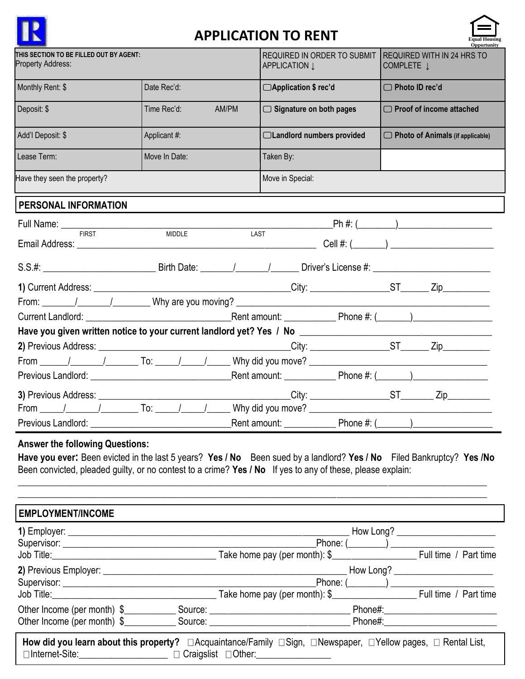

# **APPLICATION TO RENT**



|                                                              |               |                                         |                            | , ODDOFLIIDILV                                                       |
|--------------------------------------------------------------|---------------|-----------------------------------------|----------------------------|----------------------------------------------------------------------|
| THIS SECTION TO BE FILLED OUT BY AGENT:<br>Property Address: |               | APPLICATION Į                           |                            | REQUIRED IN ORDER TO SUBMIT REQUIRED WITH IN 24 HRS TO<br>COMPLETE J |
| Monthly Rent: \$                                             | Date Rec'd:   | □Application \$ rec'd                   |                            | $\Box$ Photo ID rec'd                                                |
| Deposit: \$                                                  | Time Rec'd:   | AM/PM<br>$\Box$ Signature on both pages |                            | $\Box$ Proof of income attached                                      |
| Add'l Deposit: \$                                            | Applicant #:  |                                         | □Landlord numbers provided | $\Box$ Photo of Animals (if applicable)                              |
| Lease Term:                                                  | Move In Date: | Taken By:                               |                            |                                                                      |
| Have they seen the property?                                 |               | Move in Special:                        |                            |                                                                      |
| PERSONAL INFORMATION                                         |               |                                         |                            |                                                                      |
| Full Name: <u>FIRST MANUELLE</u>                             |               |                                         |                            |                                                                      |
|                                                              | <b>MIDDLE</b> | LAST                                    |                            |                                                                      |
|                                                              |               |                                         |                            |                                                                      |
|                                                              |               |                                         |                            |                                                                      |
|                                                              |               |                                         |                            |                                                                      |
|                                                              |               |                                         |                            |                                                                      |
|                                                              |               |                                         |                            |                                                                      |
|                                                              |               |                                         |                            |                                                                      |
|                                                              |               |                                         |                            |                                                                      |
|                                                              |               |                                         |                            |                                                                      |
|                                                              |               |                                         |                            |                                                                      |
|                                                              |               |                                         |                            |                                                                      |
| Previous Landlord:                                           |               |                                         |                            |                                                                      |

# **Answer the following Questions:**

**Have you ever:** Been evicted in the last 5 years? **Yes / No** Been sued by a landlord? **Yes / No** Filed Bankruptcy? **Yes /No**  Been convicted, pleaded guilty, or no contest to a crime? **Yes / No** If yes to any of these, please explain:

\_\_\_\_\_\_\_\_\_\_\_\_\_\_\_\_\_\_\_\_\_\_\_\_\_\_\_\_\_\_\_\_\_\_\_\_\_\_\_\_\_\_\_\_\_\_\_\_\_\_\_\_\_\_\_\_\_\_\_\_\_\_\_\_\_\_\_\_\_\_\_\_\_\_\_\_\_\_\_\_\_\_\_\_\_\_\_\_\_\_\_\_\_\_\_\_\_\_\_\_ \_\_\_\_\_\_\_\_\_\_\_\_\_\_\_\_\_\_\_\_\_\_\_\_\_\_\_\_\_\_\_\_\_\_\_\_\_\_\_\_\_\_\_\_\_\_\_\_\_\_\_\_\_\_\_\_\_\_\_\_\_\_\_\_\_\_\_\_\_\_\_\_\_\_\_\_\_\_\_\_\_\_\_\_\_\_\_\_\_\_\_\_\_\_\_\_\_\_\_\_

| <b>EMPLOYMENT/INCOME</b>                 |                                         |                                                                                                                                           |                                      |  |
|------------------------------------------|-----------------------------------------|-------------------------------------------------------------------------------------------------------------------------------------------|--------------------------------------|--|
|                                          |                                         | How Long? _________________________                                                                                                       |                                      |  |
|                                          | Phone: (_________) ____________________ |                                                                                                                                           |                                      |  |
|                                          |                                         | Job Title: Full time / Part time                                                                                                          |                                      |  |
|                                          |                                         |                                                                                                                                           | How Long? __________________________ |  |
|                                          |                                         |                                                                                                                                           |                                      |  |
|                                          |                                         | Job Title: Full time / Part time                                                                                                          |                                      |  |
| Other Income (per month) \$              |                                         |                                                                                                                                           |                                      |  |
|                                          |                                         | Other Income (per month) \$    Source:    Source:    Phone#: Phone#:                                                                      |                                      |  |
| □Internet-Site: □ □ Craigslist □Other: □ |                                         | How did you learn about this property? $\Box$ Acquaintance/Family $\Box$ Sign, $\Box$ Newspaper, $\Box$ Yellow pages, $\Box$ Rental List, |                                      |  |